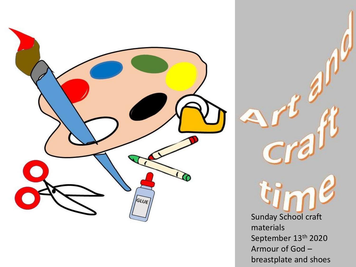

Sunday School craft materials September 13<sup>th</sup> 2020 Armour of God – breastplate and shoes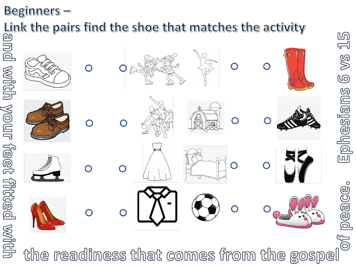**Beginners -**

Link the pairs find the shoe that matches the activity



peace

**PR**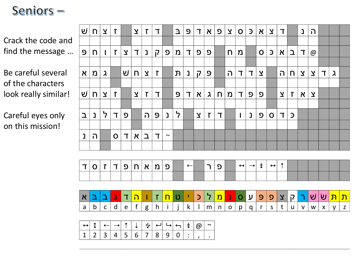## Seniors -

Crack the code and find the message …

Be careful several of the characters look really similar!

Careful eyes only on this mission!

| U                      | n.  | $\overline{\mathbf{X}}$ | $\mathsf{T}$ |                         | $\overline{\mathbf{X}}$ | $\mathbf{r}$ | T                     |              | $\mathbf{I}$ | 9 | $\mathsf{T}$              | $\mathsf X$  | $\mathbf{Q}$ | $\mathbf{Y}$ | $\mathbf{O}$ | $\mathfrak{D}$ | $\boldsymbol{\kappa}$ | $\mathbf{Y}$   | ℸ                         |              | נ                       | ה                       |        |           |  |
|------------------------|-----|-------------------------|--------------|-------------------------|-------------------------|--------------|-----------------------|--------------|--------------|---|---------------------------|--------------|--------------|--------------|--------------|----------------|-----------------------|----------------|---------------------------|--------------|-------------------------|-------------------------|--------|-----------|--|
|                        |     |                         |              |                         |                         |              |                       |              |              |   |                           |              |              |              |              |                |                       |                |                           |              |                         |                         |        |           |  |
| 9                      | n.  |                         | $\mathsf{T}$ | $\overline{\mathbf{X}}$ | ┱                       | נ            | $\overline{1}$        | $\mathbf{D}$ | n            | T | פ.                        | פ            |              | n            | Ŋ            |                | $\mathbf{O}$          | $\mathfrak{D}$ | $\boldsymbol{\mathsf{X}}$ | $\Delta$     | ヿ                       | @                       |        |           |  |
|                        |     |                         |              |                         |                         |              |                       |              |              |   |                           |              |              |              |              |                |                       |                |                           |              |                         |                         |        |           |  |
| $\boldsymbol{\lambda}$ | ່ ນ | $\lambda$               |              | ⊍່                      | n.                      | $\mathbf{Y}$ | $\mathbf{r}$          |              | ${\bf n}$    | נ | $\overline{1}$            | 9            |              | ה            | ┱            | ᄀ              | $\mathbf{\Sigma}$     |                | ה                         | n.           | $\overline{\mathbf{X}}$ | $\mathbf{Y}$            | $\top$ | $\lambda$ |  |
|                        |     |                         |              |                         |                         |              |                       |              |              |   |                           |              |              |              |              |                |                       |                |                           |              |                         |                         |        |           |  |
| Ψj                     | n.  | $\overline{\mathbf{X}}$ | $\mathsf{T}$ |                         | $\mathbf{Y}$            | $\mathsf{T}$ | $\mathbf T$           |              | 9            | ℸ | $\boldsymbol{\mathsf{N}}$ | $\lambda$    | n            | n            | T.           | <b>D</b>       | <u>c</u>              |                | $\overline{\mathbf{X}}$   | $\mathbf{r}$ | $\boldsymbol{\lambda}$  | $\overline{\mathbf{X}}$ |        |           |  |
|                        |     |                         |              |                         |                         |              |                       |              |              |   |                           |              |              |              |              |                |                       |                |                           |              |                         |                         |        |           |  |
| ב                      | נ   | ד                       | $\mathbf{T}$ | פ                       |                         | ה            | $\boldsymbol{\Theta}$ | נ            | ל            |   | $\mathbf{Y}$              | $\mathbf{r}$ | Т            |              |              | נ              | $\mathbf{Q}$          | $\mathbf O$    | T                         | $\mathbf{D}$ |                         |                         |        |           |  |
|                        |     |                         |              |                         |                         |              |                       |              |              |   |                           |              |              |              |              |                |                       |                |                           |              |                         |                         |        |           |  |
| נ                      | ה   |                         | $\mathbf O$  | Τ                       | $\boldsymbol{\lambda}$  | $\mathbf{a}$ | T                     | $\sim$       |              |   |                           |              |              |              |              |                |                       |                |                           |              |                         |                         |        |           |  |
|                        |     |                         |              |                         |                         |              |                       |              |              |   |                           |              |              |              |              |                |                       |                |                           |              |                         |                         |        |           |  |





|  | <br>$\cdots$ |  |       |  |  |  |
|--|--------------|--|-------|--|--|--|
|  |              |  | 6   7 |  |  |  |